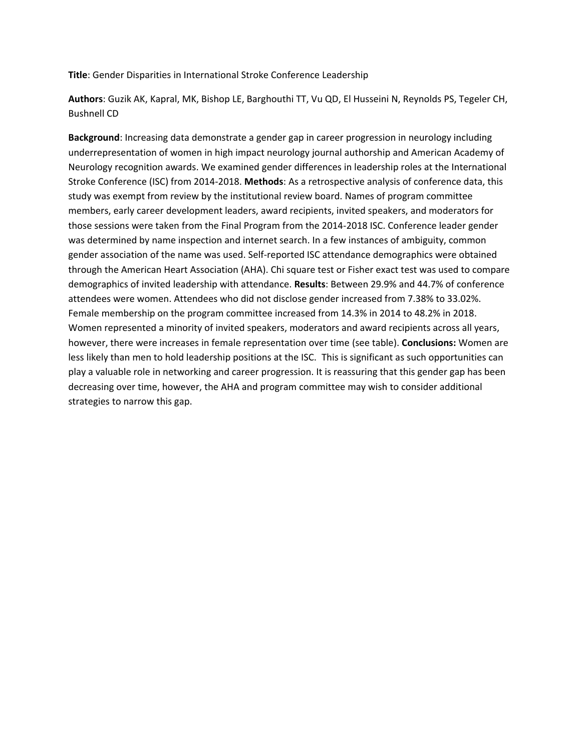**Title**: Gender Disparities in International Stroke Conference Leadership

**Authors**: Guzik AK, Kapral, MK, Bishop LE, Barghouthi TT, Vu QD, El Husseini N, Reynolds PS, Tegeler CH, Bushnell CD

**Background**: Increasing data demonstrate a gender gap in career progression in neurology including underrepresentation of women in high impact neurology journal authorship and American Academy of Neurology recognition awards. We examined gender differences in leadership roles at the International Stroke Conference (ISC) from 2014-2018. **Methods**: As a retrospective analysis of conference data, this study was exempt from review by the institutional review board. Names of program committee members, early career development leaders, award recipients, invited speakers, and moderators for those sessions were taken from the Final Program from the 2014-2018 ISC. Conference leader gender was determined by name inspection and internet search. In a few instances of ambiguity, common gender association of the name was used. Self-reported ISC attendance demographics were obtained through the American Heart Association (AHA). Chi square test or Fisher exact test was used to compare demographics of invited leadership with attendance. **Results**: Between 29.9% and 44.7% of conference attendees were women. Attendees who did not disclose gender increased from 7.38% to 33.02%. Female membership on the program committee increased from 14.3% in 2014 to 48.2% in 2018. Women represented a minority of invited speakers, moderators and award recipients across all years, however, there were increases in female representation over time (see table). **Conclusions:** Women are less likely than men to hold leadership positions at the ISC. This is significant as such opportunities can play a valuable role in networking and career progression. It is reassuring that this gender gap has been decreasing over time, however, the AHA and program committee may wish to consider additional strategies to narrow this gap.